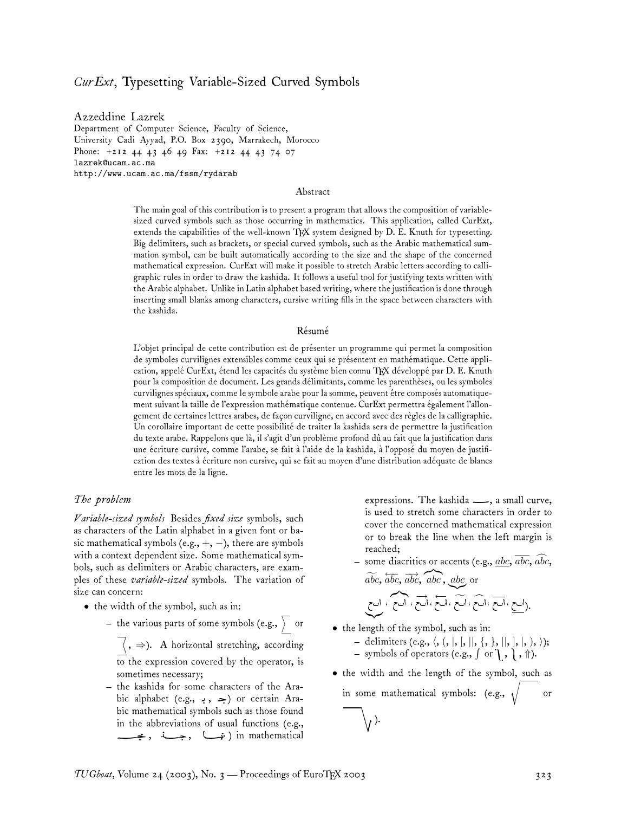# *CurExt*, Typesetting Variable-Sized Curved Symbols

Azzeddine Lazrek Department of Computer Science, Faculty of Science, University Cadi Ayyad, P.O. Box 2390, Marrakech, Morocco Phone: +212 44 43 46 49 Fax: +212 44 43 74 07 lazrek@ucam.ac.ma http://www.ucam.ac.ma/fssm/rydarab

#### Abstract

The main goal of this contribution is to present a program that allows the composition of variablesized curved symbols such as those occurring in mathematics. This application, called CurExt, extends the capabilities of the well-known TEX system designed by D. E. Knuth for typesetting. Big delimiters, such as brackets, or special curved symbols, such as the Arabic mathematical summation symbol, can be built automatically according to the size and the shape of the concerned mathematical expression. CurExt will make it possible to stretch Arabic letters according to calligraphic rules in order to draw the kashida. It follows a useful tool for justifying texts written with the Arabic alphabet. Unlike in Latin alphabet based writing, where the justification is done through inserting small blanks among characters, cursive writing fills in the space between characters with the kashida.

#### Résumé

L'objet principal de cette contribution est de présenter un programme qui permet la composition de symboles curvilignes extensibles comme ceux qui se présentent en mathématique. Cette application, appelé CurExt, étend les capacités du système bien connu TEX développé par D. E. Knuth pour la composition de document. Les grands délimitants, comme les parenthèses, ou les symboles curvilignes spéciaux, comme le symbole arabe pour la somme, peuvent être composés automatiquement suivant la taille de l'expression mathématique contenue. CurExt permettra également l'allongement de certaines lettres arabes, de façon curviligne, en accord avec des règles de la calligraphie. Un corollaire important de cette possibilité de traiter la kashida sera de permettre la justification du texte arabe. Rappelons que là, il s'agit d'un problème profond dû au fait que la justification dans une écriture cursive, comme l'arabe, se fait à l'aide de la kashida, à l'opposé du moyen de justification des textes à écriture non cursive, qui se fait au moyen d'une distribution adéquate de blancs entre les mots de la ligne.

#### *The problem*

*Variable-sized symbols* Besides *fixed size* symbols, such as characters of the Latin alphabet in a given font or basic mathematical symbols (e.g.,  $+$ ,  $-$ ), there are symbols with a context dependent size. Some mathematical symbols, such as delimiters or Arabic characters, are examples of these *variable-sized* symbols. The variation of size can concern:

- the width of the symbol, such as in:
	- the various parts of some symbols (e.g.,  $\rangle$   $\,$  or

 $\langle , \Rightarrow \rangle$ . A horizontal stretching, according to the expression covered by the operator, is sometimes necessary;

– the kashida for some characters of the Arabic alphabet (e.g.,  $\cdot$  ,  $\Rightarrow$ ) or certain Arabic mathematical symbols such as those found in the abbreviations of usual functions (e.g., جـــــة , جــــة ) in mathematical expressions. The kashida  $\_\_\_\$ , a small curve, is used to stretch some characters in order to cover the concerned mathematical expression or to break the line when the left margin is reached;

 $-$  some diacritics or accents (e.g.,  $\underline{abc}$ ,  $\overline{abc}$ ,  $\widehat{abc}$ ,  $\widetilde{abc}$ ,  $\overline{abc}$ ,  $\overline{abc}$ ,  $\overline{abc}$ ,  $\overline{abc}$  or

$$
\overline{\left(\bigcup_{i=1}^{n} \mathcal{F}_{i}\right)} \times \overline{\left(\bigcup_{i=1}^{n} \mathcal{F}_{i}\right)} \times \overline{\left(\bigcup_{i=1}^{n} \mathcal{F}_{i}\right)} \times \overline{\left(\bigcup_{i=1}^{n} \mathcal{F}_{i}\right)} \times \overline{\left(\bigcup_{i=1}^{n} \mathcal{F}_{i}\right)}.
$$

- the length of the symbol, such as in:
	- delimiters (e.g.,  $\langle, (, |, |, |, |, \{, \}, |, |, ), \rangle);$ - symbols of operators (e.g.,  $\int$  or  $\bigcup$  ,  $\bigwedge$  ,  $\Uparrow$  ).
- the width and the length of the symbol, such as in some mathematical symbols: (e.g.,  $\sqrt{ }$ or  $\setminus$ .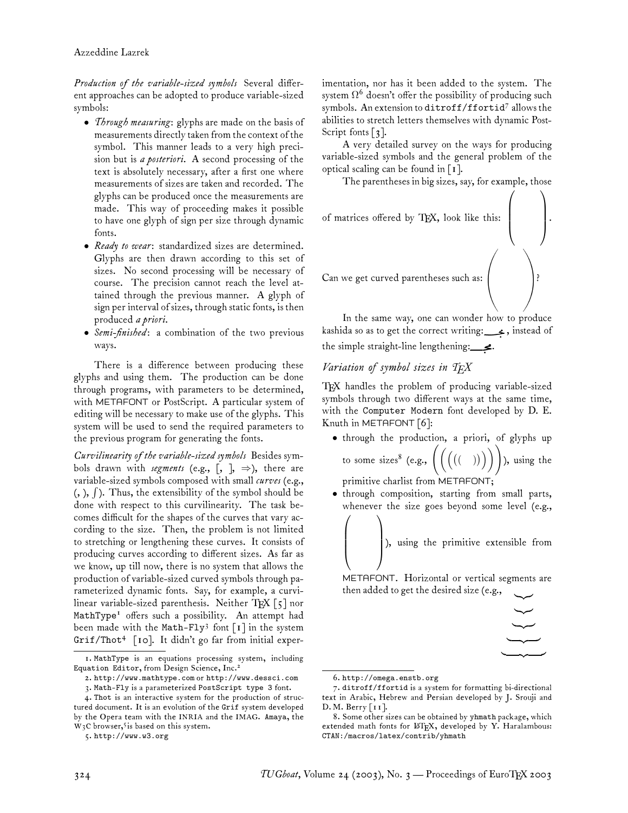*Production of the variable-sized symbols* Several different approaches can be adopted to produce variable-sized symbols:

- *Through measuring*: glyphs are made on the basis of measurements directly taken from the context of the symbol. This manner leads to a very high precision but is *a posteriori*. A second processing of the text is absolutely necessary, after a first one where measurements of sizes are taken and recorded. The glyphs can be produced once the measurements are made. This way of proceeding makes it possible to have one glyph of sign per size through dynamic fonts.
- *Ready to wear*: standardized sizes are determined. Glyphs are then drawn according to this set of sizes. No second processing will be necessary of course. The precision cannot reach the level attained through the previous manner. A glyph of sign per interval of sizes, through static fonts, is then produced *a priori*.
- *Semi-finished*: a combination of the two previous ways.

There is a difference between producing these glyphs and using them. The production can be done through programs, with parameters to be determined, with METAFONT or PostScript. A particular system of editing will be necessary to make use of the glyphs. This system will be used to send the required parameters to the previous program for generating the fonts.

*Curvilinearity of the variable-sized symbols* Besides symbols drawn with *segments* (e.g.,  $\lceil, \rceil, \Rightarrow$ ), there are variable-sized symbols composed with small *curves* (e.g., (, ),  $\int$  ). Thus, the extensibility of the symbol should be done with respect to this curvilinearity. The task becomes difficult for the shapes of the curves that vary according to the size. Then, the problem is not limited to stretching or lengthening these curves. It consists of producing curves according to different sizes. As far as we know, up till now, there is no system that allows the production of variable-sized curved symbols through parameterized dynamic fonts. Say, for example, a curvilinear variable-sized parenthesis. Neither TEX  $\lceil 5 \rceil$  nor MathType<sup>1</sup> offers such a possibility. An attempt had been made with the Math-Fly<sup>3</sup> font  $\lceil \mathbf{i} \rceil$  in the system Grif/Thot<sup>4</sup> [10]. It didn't go far from initial experimentation, nor has it been added to the system. The system  $\Omega^6$  doesn't offer the possibility of producing such symbols. An extension to ditroff/ffortid<sup>7</sup> allows the abilities to stretch letters themselves with dynamic Post-Script fonts  $\lceil 3 \rceil$ .

A very detailed survey on the ways for producing variable-sized symbols and the general problem of the optical scaling can be found in [1].

The parentheses in big sizes, say, for example, those



In the same way, one can wonder how to produce kashida so as to get the correct writing: ـ , instead of the simple straight-line lengthening: .

## *Variation of symbol sizes in TEX*

TEX handles the problem of producing variable-sized symbols through two different ways at the same time, with the Computer Modern font developed by D. E. Knuth in METAFONT [6]:

- through the production, a priori, of glyphs up to some sizes  $(e.g., \left( \left( \left( \begin{array}{c} ( & 0) \end{array} \right) \right) \right)$  , using the primitive charlist from METAFONT;
- through composition, starting from small parts, whenever the size goes beyond some level (e.g.,

), using the primitive extensible from ⎞

METAFONT. Horizontal or vertical segments are then added to get the desired size (e.g.,

> $\mathbf{r}$  $\sim$  $\overline{\phantom{a}}$  $\sim$  $\rightarrow$

 $\sqrt{2}$ 

<sup>1.</sup> MathType is an equations processing system, including Equation Editor, from Design Science, Inc.<sup>2</sup>

<sup>2.</sup> http://www.mathtype.com or http://www.dessci.com

<sup>3.</sup> Math-Fly is a parameterized PostScript type 3 font.

<sup>4.</sup> Thot is an interactive system for the production of structured document. It is an evolution of the Grif system developed by the Opera team with the INRIA and the IMAG. Amaya, the  $W<sub>3</sub>C$  browser,<sup>5</sup> is based on this system.

<sup>5.</sup> http://www.w3.org

<sup>6.</sup> http://omega.enstb.org

<sup>7.</sup> ditroff/ffortid is a system for formatting bi-directional text in Arabic, Hebrew and Persian developed by J. Srouji and D. M. Berry [11].

<sup>8.</sup> Some other sizes can be obtained by yhmath package, which extended math fonts for ETEX, developed by Y. Haralambous: CTAN:/macros/latex/contrib/yhmath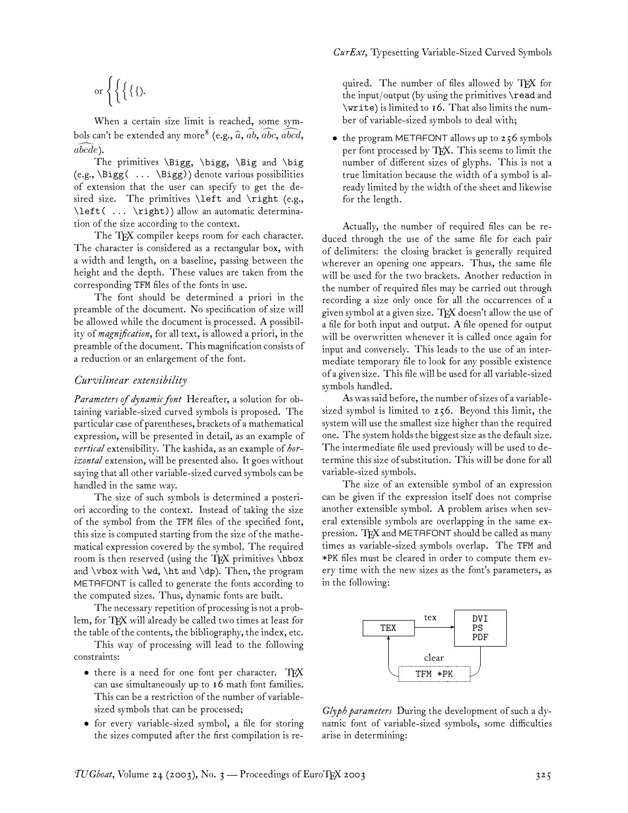$$
\text{or }\Bigg\{\Bigg\{\bigg\{\bigg\{,\Bigg\}.
$$

When a certain size limit is reached, some symbols can't be extended any more<sup>8</sup> (e.g.,  $\widehat{a}$ ,  $\widehat{ab}$ ,  $\widehat{abc}$ ,  $\widehat{abcd}$ , *abcde* ).

The primitives \Bigg, \bigg, \Big and \big (e.g., \Bigg( ... \Bigg)) denote various possibilities of extension that the user can specify to get the desired size. The primitives  $\left\{ \alpha \right\}$  (e.g., \left( ... \right)) allow an automatic determination of the size according to the context.

The TFX compiler keeps room for each character. The character is considered as a rectangular box, with a width and length, on a baseline, passing between the height and the depth. These values are taken from the corresponding TFM files of the fonts in use.

The font should be determined a priori in the preamble of the document. No specification of size will be allowed while the document is processed. A possibility of *magnification*, for all text, is allowed a priori, in the preamble of the document. This magnification consists of a reduction or an enlargement of the font.

#### *Curvilinear extensibility*

*Parameters of dynamic font* Hereafter, a solution for obtaining variable-sized curved symbols is proposed. The particular case of parentheses, brackets of a mathematical expression, will be presented in detail, as an example of *vertical* extensibility. The kashida, as an example of *horizontal* extension, will be presented also. It goes without saying that all other variable-sized curved symbols can be handled in the same way.

The size of such symbols is determined a posteriori according to the context. Instead of taking the size of the symbol from the TFM files of the specified font, this size is computed starting from the size of the mathematical expression covered by the symbol. The required room is then reserved (using the TEX primitives \hbox and  $\forall$  with  $\forall$ ,  $\forall$  and  $\langle$ , Then, the program METAFONT is called to generate the fonts according to the computed sizes. Thus, dynamic fonts are built.

The necessary repetition of processing is not a problem, for TEX will already be called two times at least for the table of the contents, the bibliography, the index, etc.

This way of processing will lead to the following constraints:

- there is a need for one font per character. TEX can use simultaneously up to 16 math font families. This can be a restriction of the number of variablesized symbols that can be processed;
- for every variable-sized symbol, a file for storing the sizes computed after the first compilation is re-

quired. The number of files allowed by TFX for the input/output (by using the primitives \read and \write) is limited to 16. That also limits the number of variable-sized symbols to deal with;

• the program METAFONT allows up to 256 symbols per font processed by TFX. This seems to limit the number of different sizes of glyphs. This is not a true limitation because the width of a symbol is already limited by the width of the sheet and likewise for the length.

Actually, the number of required files can be reduced through the use of the same file for each pair of delimiters: the closing bracket is generally required wherever an opening one appears. Thus, the same file will be used for the two brackets. Another reduction in the number of required files may be carried out through recording a size only once for all the occurrences of a given symbol at a given size. TFX doesn't allow the use of a file for both input and output. A file opened for output will be overwritten whenever it is called once again for input and conversely. This leads to the use of an intermediate temporary file to look for any possible existence of a given size. This file will be used for all variable-sized symbols handled.

As was said before, the number of sizes of a variablesized symbol is limited to 256. Beyond this limit, the system will use the smallest size higher than the required one. The system holds the biggest size as the default size. The intermediate file used previously will be used to determine this size of substitution. This will be done for all variable-sized symbols.

The size of an extensible symbol of an expression can be given if the expression itself does not comprise another extensible symbol. A problem arises when several extensible symbols are overlapping in the same expression. TFX and METAFONT should be called as many times as variable-sized symbols overlap. The TFM and \*PK files must be cleared in order to compute them every time with the new sizes as the font's parameters, as in the following:



*Glyph parameters* During the development of such a dynamic font of variable-sized symbols, some difficulties arise in determining: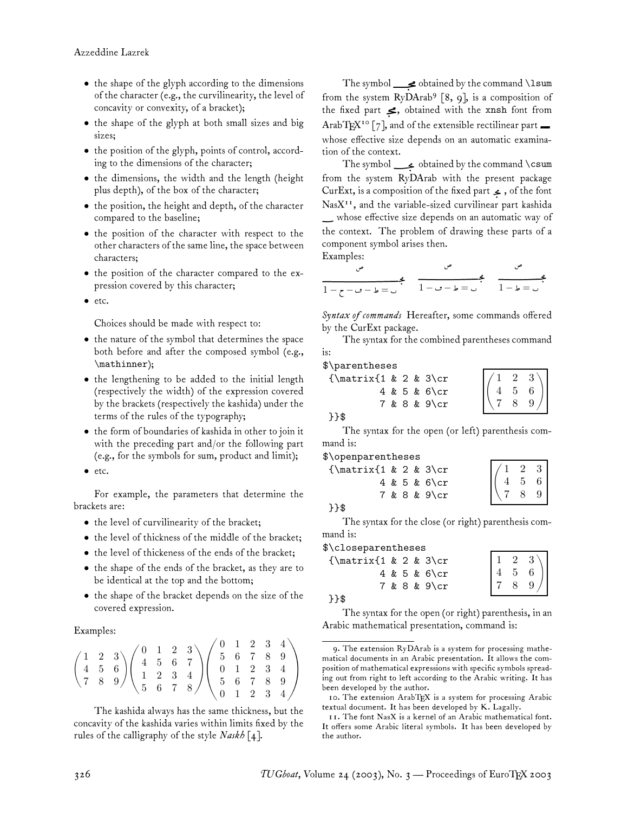- the shape of the glyph according to the dimensions of the character (e.g., the curvilinearity, the level of concavity or convexity, of a bracket);
- the shape of the glyph at both small sizes and big sizes;
- the position of the glyph, points of control, according to the dimensions of the character;
- the dimensions, the width and the length (height plus depth), of the box of the character;
- the position, the height and depth, of the character compared to the baseline;
- the position of the character with respect to the other characters of the same line, the space between characters;
- the position of the character compared to the expression covered by this character;
- etc.

Choices should be made with respect to:

- the nature of the symbol that determines the space both before and after the composed symbol (e.g., \mathinner);
- the lengthening to be added to the initial length (respectively the width) of the expression covered by the brackets (respectively the kashida) under the terms of the rules of the typography;
- the form of boundaries of kashida in other to join it with the preceding part and/or the following part (e.g., for the symbols for sum, product and limit);
- etc.

For example, the parameters that determine the brackets are:

- the level of curvilinearity of the bracket;
- the level of thickness of the middle of the bracket;
- the level of thickeness of the ends of the bracket;
- the shape of the ends of the bracket, as they are to be identical at the top and the bottom;
- the shape of the bracket depends on the size of the covered expression.

#### Examples:

|  |  |  | $\begin{pmatrix} 1 & 2 & 3 \ 4 & 5 & 6 \ 7 & 8 & 9 \end{pmatrix} \begin{pmatrix} 0 & 1 & 2 & 3 \ 4 & 5 & 6 & 7 \ 1 & 2 & 3 & 4 \ 5 & 6 & 7 & 8 \end{pmatrix} \begin{pmatrix} 0 & 1 & 2 & 3 & 4 \ 5 & 6 & 7 & 8 & 9 \ 0 & 1 & 2 & 3 & 4 \ 5 & 6 & 7 & 8 & 9 \ 0 & 1 & 2 & 3 & 4 \end{pmatrix}$ |  |  |
|--|--|--|-----------------------------------------------------------------------------------------------------------------------------------------------------------------------------------------------------------------------------------------------------------------------------------------------|--|--|

The kashida always has the same thickness, but the concavity of the kashida varies within limits fixed by the rules of the calligraphy of the style *Naskh* [4].

The symbol  $\rule{1em}{0.15mm}$  obtained by the command \lsum from the system  $RyDArab^9$  [8, 9], is a composition of the fixed part  $\leq$ , obtained with the xnsh font from ArabTEX<sup>10</sup> [7], and of the extensible rectilinear part whose effective size depends on an automatic examination of the context.

The symbol  $\longrightarrow$  obtained by the command \csum from the system RyDArab with the present package CurExt, is a composition of the fixed part  $\blacktriangleright$ , of the font  $N$ as $X<sup>11</sup>$ , and the variable-sized curvilinear part kashida

 whose effective size depends on an automatic way of the context. The problem of drawing these parts of a component symbol arises then.

Examples:

*Syntax of commands* Hereafter, some commands offered by the CurExt package.

The syntax for the combined parentheses command is:

### \$\parentheses

{\matrix{1 & 2 & 3\cr 4 & 5 & 6\cr 7 & 8 & 9\cr }}\$  $\begin{pmatrix} 4 & 5 & 6 \end{pmatrix}$ 123  $\begin{array}{c|c} 4 & 3 & 0 \\ 7 & 8 & 9 \end{array}$ 

The syntax for the open (or left) parenthesis com-

| mand is:                 |  |                |
|--------------------------|--|----------------|
| \$\openparentheses       |  |                |
| $\{\text{1} \& 2 \& 3\}$ |  |                |
|                          |  | $4 \& 5 \& 6\$ |
|                          |  |                |

|  | 2 | 3 |  |
|--|---|---|--|
|  | 5 | 6 |  |
|  | 8 | 9 |  |

| - | - |  |
|---|---|--|

The syntax for the close (or right) parenthesis command is:

7 & 8 & 9\cr

### \$\closeparentheses

| $\{\text{1} \& 2 \& 3\}$ cr |  |                   |  |                                                                     |  |
|-----------------------------|--|-------------------|--|---------------------------------------------------------------------|--|
|                             |  | $4 \& 5 \& 6\$ cr |  | $\begin{pmatrix} 1 & 2 & 3 \\ 4 & 5 & 6 \\ 7 & 8 & 9 \end{pmatrix}$ |  |
|                             |  | 7 & 8 & 9\cr      |  |                                                                     |  |
| ጉጉ\$                        |  |                   |  |                                                                     |  |

The syntax for the open (or right) parenthesis, in an Arabic mathematical presentation, command is:

position of mathematical expressions with specific symbols spread-9. The extension RyDArab is a system for processing mathematical documents in an Arabic presentation. It allows the coming out from right to left according to the Arabic writing. It has been developed by the author.

<sup>10.</sup> The extension ArabTEX is a system for processing Arabic textual document. It has been developed by K. Lagally.

<sup>11.</sup> The font NasX is a kernel of an Arabic mathematical font. It offers some Arabic literal symbols. It has been developed by the author.